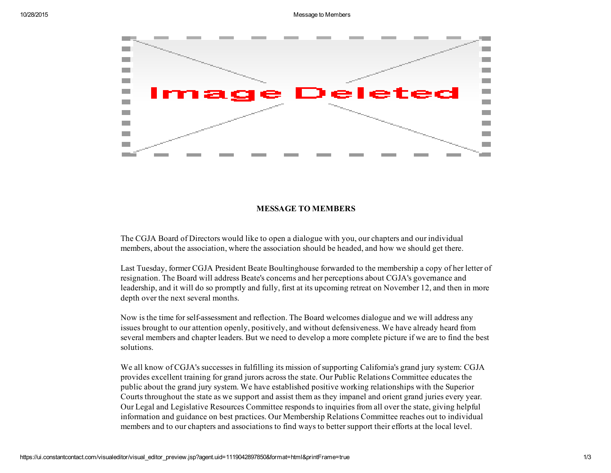

## MESSAGE TO MEMBERS

The CGJA Board of Directors would like to open a dialogue with you, our chapters and our individual members, about the association, where the association should be headed, and how we should get there.

Last Tuesday, former CGJA President Beate Boultinghouse forwarded to the membership a copy of her letter of resignation. The Board will address Beate's concerns and her perceptions about CGJA's governance and leadership, and it will do so promptly and fully, first at its upcoming retreat on November 12, and then in more depth over the next several months.

Now is the time forselfassessment and reflection. The Board welcomes dialogue and we will address any issues brought to our attention openly, positively, and without defensiveness. We have already heard from several members and chapter leaders. But we need to develop a more complete picture if we are to find the best solutions.

We all know of CGJA's successes in fulfilling its mission of supporting California's grand jury system: CGJA provides excellent training for grand jurors across the state. Our Public Relations Committee educates the public about the grand jury system. We have established positive working relationships with the Superior Courts throughout the state as we support and assist them as they impanel and orient grand juries every year. Our Legal and Legislative Resources Committee responds to inquiries from all over the state, giving helpful information and guidance on best practices. Our Membership Relations Committee reaches out to individual members and to our chapters and associations to find ways to bettersupport their efforts at the local level.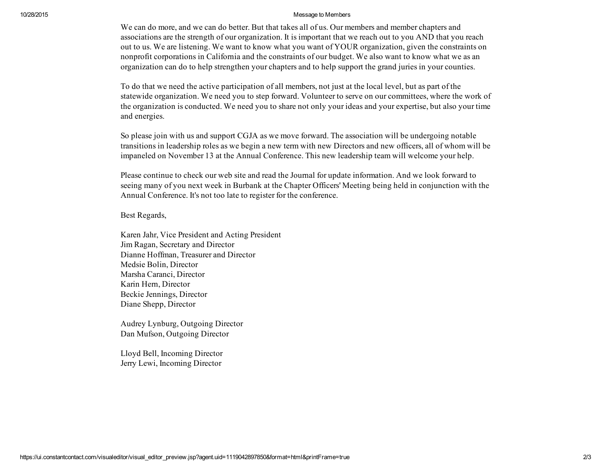## 10/28/2015 Message to Members

We can do more, and we can do better. But that takes all of us. Our members and member chapters and associations are the strength of our organization. It is important that we reach out to you AND that you reach out to us. We are listening. We want to know what you want of YOUR organization, given the constraints on nonprofit corporations in California and the constraints of our budget. We also want to know what we as an organization can do to help strengthen your chapters and to help support the grand juries in your counties.

To do that we need the active participation of all members, not just at the local level, but as part of the statewide organization. We need you to step forward. Volunteer to serve on our committees, where the work of the organization is conducted. We need you to share not only your ideas and your expertise, but also your time and energies.

So please join with us and support CGJA as we move forward. The association will be undergoing notable transitions in leadership roles as we begin a new term with new Directors and new officers, all of whom will be impaneled on November 13 at the Annual Conference. This new leadership team will welcome your help.

Please continue to check our web site and read the Journal for update information. And we look forward to seeing many of you next week in Burbank at the Chapter Officers' Meeting being held in conjunction with the Annual Conference. It's not too late to register for the conference.

## Best Regards,

Karen Jahr, Vice President and Acting President Jim Ragan, Secretary and Director Dianne Hoffman, Treasurer and Director Medsie Bolin, Director Marsha Caranci, Director Karin Hern, Director Beckie Jennings, Director Diane Shepp, Director

Audrey Lynburg, Outgoing Director Dan Mufson, Outgoing Director

Lloyd Bell, Incoming Director Jerry Lewi, Incoming Director